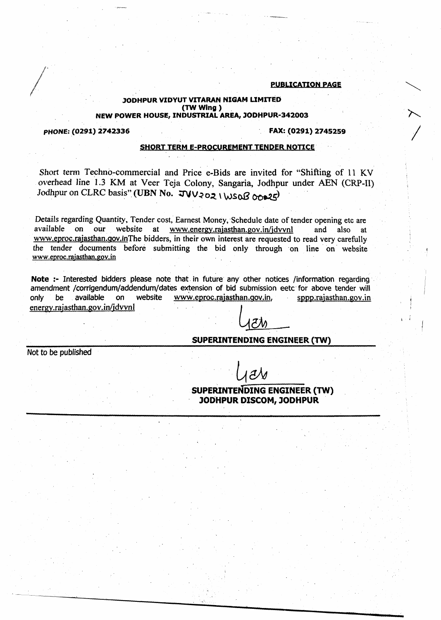#### PUBLICATION PAGE

#### JODHPUR VIDYUT VITARAN NIGAM LIMITED (TW Wing) NEW POWER HOUSE, INDUSTRIAL AREA, JODHPUR-342003

#### PHONE: (0291) 2742336 **FAX: (0291) 2745259**

### SHORT TERM E-PROCUREMENT TENDER NOTICE

Short term Techno-commercial and Price e-Bids are invited for "Shifting of 11 KV overhead line 1.3 KM at Veer Teja Colony, Sangaria, Jodhpur under AEN (CRP-II) Jodhpur on CLRC basis" (UBN No.  $JVV$ 202 (WSOB 00025)

Details regarding Quantity, Tender cost, Earnest Money, 'Schedule date of tender opening etc are available on our website at www.energy.rajasthan.gov.in/jdvvnl and also at [www.eproc.rajasthan.gov.inThe](http://www.eproc.rajasthan.gov.inThe) bidders, in their own interest are requested to read very carefully the tender documents before submitting the bid only through 'on line' on' website [www.eproc.rajastban.gov.in](http://www.eproc.rajastban.gov.in)

Note :- Interested bidders please note that in future any other notices /information regarding amendment /corrigendum/addendum/dates extension of bid submission eetc for above tender will only be available on website www.eproc.rajasthan.gov.in, sppp.rajasthan.gov.in  $energv. raiasthan.gov.in/jd vvn1$ 

## $\lambda \sim \lambda \lambda$ SUPERINTENDING ENGINEER (TW)

Not to be published

 $\partial\mathcal{N}$ 

SUPERINTENDING ENGINEER (TW) JODHPUR DISCOM, JODHPUR